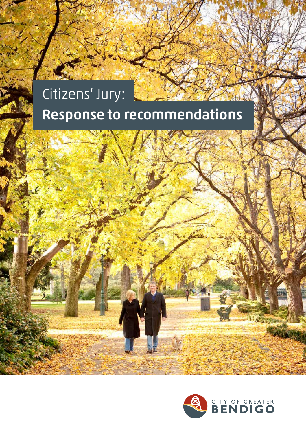# Citizens' Jury: Response to recommendations

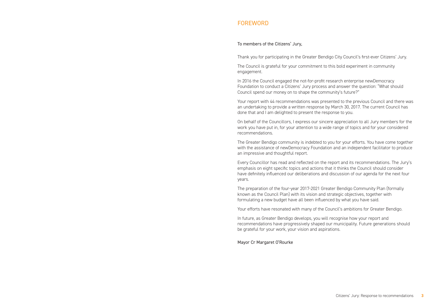## **FOREWORD**

#### To members of the Citizens' Jury,

Thank you for participating in the Greater Bendigo City Council's first-ever Citizens' Jury.

The Council is grateful for your commitment to this bold experiment in community engagement.

In 2016 the Council engaged the not-for-profit research enterprise newDemocracy Foundation to conduct a Citizens' Jury process and answer the question: "What should Council spend our money on to shape the community's future?"

Your report with 44 recommendations was presented to the previous Council and there was an undertaking to provide a written response by March 30, 2017. The current Council has done that and I am delighted to present the response to you.

On behalf of the Councillors, I express our sincere appreciation to all Jury members for the work you have put in, for your attention to a wide range of topics and for your considered recommendations.

The Greater Bendigo community is indebted to you for your efforts. You have come together with the assistance of newDemocracy Foundation and an independent facilitator to produce an impressive and thoughtful report.

Every Councillor has read and reflected on the report and its recommendations. The Jury's emphasis on eight specific topics and actions that it thinks the Council should consider have definitely influenced our deliberations and discussion of our agenda for the next four years.

The preparation of the four-year 2017-2021 Greater Bendigo Community Plan (formally known as the Council Plan) with its vision and strategic objectives, together with formulating a new budget have all been influenced by what you have said.

Your efforts have resonated with many of the Council's ambitions for Greater Bendigo.

In future, as Greater Bendigo develops, you will recognise how your report and recommendations have progressively shaped our municipality. Future generations should be grateful for your work, your vision and aspirations.

Mayor Cr Margaret O'Rourke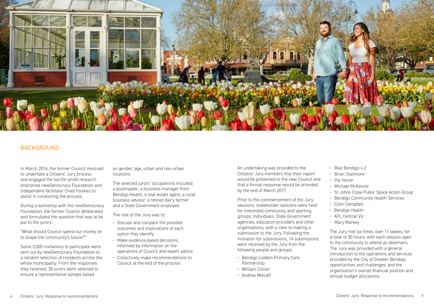

# **BACKGROUND**

In March 2016, the former Council resolved to undertake a Citizens' Jury process and engaged the not-for-profit research enterprise newDemocracy Foundation and independent facilitator Chad Foulkes to assist in conducting the process.

During a workshop with the newDemocracy Foundation, the former Council deliberated and formulated the question that was to be put to the jurors:

"What should Council spend our money on to shape the community's future?"

Some 3,000 invitations to participate were sent out by newDemocracy Foundation to a random selection of residents across the whole municipality. From the responses they received, 28 jurors were selected to ensure a representative sample based

on gender, age, urban and non-urban locations.

The selected jurors' occupations included: a postmaster, a business manager from Bendigo Health, a real estate agent, a rural business advisor, a retired dairy farmer and a State Government employee.

The role of the Jury was to:

- Discuss and compare the possible outcomes and implications of each option they identify
- Make evidence-based decisions, informed by information on the operations of Council and expert advice
- Collectively make recommendations to Council at the end of the process

An undertaking was provided to the Citizens' Jury members that their report would be presented to the new Council and that a formal response would be provided by the end of March 2017.

Prior to the commencement of the Jury sessions, stakeholder sessions were held for interested community and sporting groups, individuals, State Government agencies, education providers and other organisations, with a view to making a submission to the Jury. Following the invitation for submissions, 14 submissions were received by the Jury from the following people and groups:

- Bendigo Loddon Primary Care Partnership
- William Collier
- Andrea Metcalf
- Bike Bendigo x 2
- Brian Stanmore
- Pat Horan
- Michael McKenzie
- St Johns Close Public Space Action Group
- Bendigo Community Health Services
- Colin Campbell
- Bendigo Health
- AFL Central Vic
- Mary Markey

The Jury met six times over 11 weeks, for a total of 30 hours, with each session open to the community to attend as observers. The Jury was provided with a general introduction to the operations and services provided by the City of Greater Bendigo, opportunities and challenges, and the organisation's overall financial position and annual budget allocations.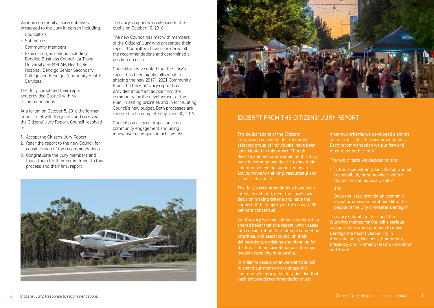Various community representatives presented to the Jury in person including:

- Councillors
- Submitters
- Community members
- External organisations including: Bendigo Business Council, La Trobe University, REMPLAN, Heathcote Hospital, Bendigo Senior Secondary College and Bendigo Community Health **Services**

The Jury completed their report and provided Council with 44 recommendations.

At a forum on October 5, 2016 the former Council met with the jurors and received the Citizens' Jury Report. Council resolved to:

- 1. Accept the Citizens Jury Report
- 2. Refer the report to the new Council for consideration of the recommendations
- 3. Congratulate the Jury members and thank them for their commitment to this process and their final report

The Jury's report was released to the public on October 10, 2016.

The new Council has met with members of the Citizens' Jury who presented their report. Councillors have considered all the recommendations and determined a position on each.

Councillors have noted that the Jury's report has been highly influential in shaping the new 2017 - 2021 Community Plan. The Citizens' Jury report has provided important advice from the community for the development of the Plan, in setting priorities and in formulating Council's new budget. Both processes are required to be completed by June 30, 2017.

Council places great importance on community engagement and using innovative techniques to achieve this.





# EXCERPT FROM THE CITIZENS' JURY REPORT

The deliberations of the Citizens' Jury, which consisted of a randomlyselected group of individuals, have been consolidated in this report. Though diverse, the men and women on this Jury have in common one desire: to see their community develop supported by an active, forward-thinking, resourceful and resourced council.

The Jury's recommendations have been intensely debated, meet the Jury's own decision making criteria and have the support of the majority of the group (>80 per cent consensus).

We the Jury worked collaboratively with a shared belief that this report, which takes into consideration the reality of competing priorities, will assist council in their deliberations, decisions and planning for the future: to ensure Bendigo is the most liveable rural city in Australia.

In order to decide what we want Council to spend our money on to shape the community's future, the Jury decided that each proposed recommendation must

meet two criteria; we developed a simple set of criteria for the recommendations. Each recommendation we put forward must meet both criteria.

The two criteria we decided on are:

• Is the issue within Council's operational responsibility or somewhere where Council has an advocacy role?

and

• Does the issue provide an economic, social or environmental benefit to the people of the City of Greater Bendigo?

The Jury submits in its report the following themes for Council's serious consideration when planning to make Bendigo the most liveable city in Australia: Arts, Business, Community, Efficiency, Environment, Health, Innovation and Youth.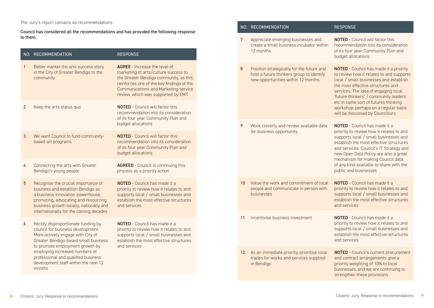### The Jury's report contains 44 recommendations.

Council has considered all the recommendations and has provided the following response to them.

|                | NO: RECOMMENDATION                                                                                                                                                                                                                                                                                                  | <b>RESPONSE</b>                                                                                                                                                                                                                                          |
|----------------|---------------------------------------------------------------------------------------------------------------------------------------------------------------------------------------------------------------------------------------------------------------------------------------------------------------------|----------------------------------------------------------------------------------------------------------------------------------------------------------------------------------------------------------------------------------------------------------|
| $\mathbf{1}$   | Better market the arts success story<br>in the City of Greater Bendigo to the<br>community                                                                                                                                                                                                                          | <b>AGREE</b> - Increase the level of<br>marketing of arts/culture success to<br>the Greater Bendigo community, as this<br>reinforces one of the key findings of the<br><b>Communications and Marketing service</b><br>review, which was supported by EMT |
| $\overline{2}$ | Keep the arts status quo                                                                                                                                                                                                                                                                                            | <b>NOTED</b> - Council will factor this<br>recommendation into its consideration<br>of its four year Community Plan and<br>budget allocations                                                                                                            |
| 3              | We want Council to fund community-<br>based art programs                                                                                                                                                                                                                                                            | <b>NOTED</b> - Council will factor this<br>recommendation into its consideration<br>of its four year Community Plan and<br>budget allocations                                                                                                            |
| 4              | Connecting the arts with Greater<br>Bendigo's young people                                                                                                                                                                                                                                                          | <b>AGREED</b> - Council is continuing this<br>process as a priority action                                                                                                                                                                               |
| 5              | Recognise the crucial importance of<br>business and establish Bendigo as<br>a business innovation powerhouse,<br>promoting, advocating and resourcing<br>business growth locally, nationally and<br>internationally for the coming decades                                                                          | <b>NOTED</b> - Council has made it a<br>priority to review how it relates to and<br>supports local / small businesses and<br>establish the most effective structures<br>and services                                                                     |
| 6              | Rectify disproportionate funding by<br>council for business development.<br>More actively engage with City of<br>Greater Bendigo-based small business<br>to promote employment growth by<br>employing increased numbers of<br>professional and qualified business<br>development staff within the next 12<br>months | <b>NOTED</b> - Council has made it a<br>priority to review how it relates to and<br>supports local / small businesses and<br>establish the most effective structures<br>and services                                                                     |

|  |    | NO: RECOMMENDATION                                                                                                          | <b>RESPONSE</b>                                                                                                                                                                                                                                                                                                                                                               |
|--|----|-----------------------------------------------------------------------------------------------------------------------------|-------------------------------------------------------------------------------------------------------------------------------------------------------------------------------------------------------------------------------------------------------------------------------------------------------------------------------------------------------------------------------|
|  | 7  | Appreciate emerging businesses and<br>create a small business incubator within<br>12 months                                 | <b>NOTED</b> - Council will factor this<br>recommendation into its consideration<br>of its four year Community Plan and<br>budget allocations                                                                                                                                                                                                                                 |
|  | 8  | Position strategically for the future and<br>host a future thinkers group to identify<br>new opportunities within 12 months | <b>NOTED</b> - Council has made it a priority<br>to review how it relates to and supports<br>local / small businesses and establish<br>the most effective structures and<br>services. The idea of engaging local<br>'future thinkers' / community leaders<br>etc in some sort of futures thinking<br>workshop, perhaps on a regular basis<br>will be discussed by Councillors |
|  | 9  | Work cleverly and review available data<br>for business opportunity                                                         | <b>NOTED</b> - Council has made it a<br>priority to review how it relates to and<br>supports local / small businesses and<br>establish the most effective structures<br>and services. Council's IT Strategy and<br>new Open Data Policy are also a great<br>mechanism for making Council data<br>of any kind available to share with the<br>public and businesses             |
|  | 10 | Value the work and commitment of local<br>people and communicate in person with<br>businesses                               | <b>NOTED</b> - Council has made it a<br>priority to review how it relates to and<br>supports local / small businesses and<br>establish the most effective structures<br>and services                                                                                                                                                                                          |
|  | 11 | Incentivise business investment                                                                                             | <b>NOTED</b> - Council has made it a<br>priority to review how it relates to and<br>supports local / small businesses and<br>establish the most effective structures<br>and services                                                                                                                                                                                          |
|  | 12 | As an immediate priority, prioritise local<br>trades for works and services supplied<br>in Bendigo                          | <b>NOTED</b> - Council's current procurement<br>and contract arrangements give a<br>priority weighting of 10% to local<br>businesses, and we are continuing to<br>strengthen these provisions                                                                                                                                                                                 |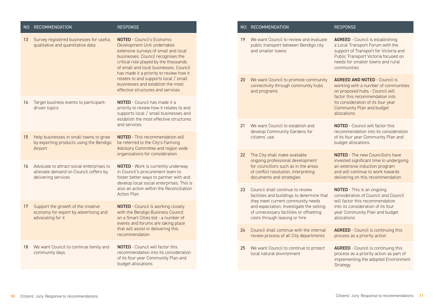|    | NO: RECOMMENDATION                                                                                         | <b>RESPONSE</b>                                                                                                                                                                                                                                                                                                                                                                                 |
|----|------------------------------------------------------------------------------------------------------------|-------------------------------------------------------------------------------------------------------------------------------------------------------------------------------------------------------------------------------------------------------------------------------------------------------------------------------------------------------------------------------------------------|
| 13 | Survey registered businesses for useful,<br>qualitative and quantitative data                              | <b>NOTED - Council's Economic</b><br>Development Unit undertakes<br>extensive surveys of small and local<br>businesses. Council recognises the<br>critical role played by the thousands<br>of small and local businesses. Council<br>has made it a priority to review how it<br>relates to and supports local / small<br>businesses and establish the most<br>effective structures and services |
| 14 | Target business events to participant-<br>driven topics                                                    | <b>NOTED</b> - Council has made it a<br>priority to review how it relates to and<br>supports local / small businesses and<br>establish the most effective structures<br>and services                                                                                                                                                                                                            |
| 15 | Help businesses in small towns to grow<br>by exporting products using the Bendigo<br>Airport               | <b>NOTED</b> - This recommendation will<br>be referred to the City's Farming<br>Advisory Committee and region wide<br>organisations for consideration                                                                                                                                                                                                                                           |
| 16 | Advocate to attract social enterprises to<br>alleviate demand on Council coffers by<br>delivering services | <b>NOTED</b> - Work is currently underway<br>in Council's procurement team to<br>foster better ways to partner with and<br>develop local social enterprises. This is<br>also an action within the Reconciliation<br><b>Action Plan</b>                                                                                                                                                          |
| 17 | Support the growth of the creative<br>economy for export by advertising and<br>advocating for it           | <b>NOTED</b> - Council is working closely<br>with the Bendigo Business Council<br>on a Smart Cities bid - a number of<br>events and forums are taking place<br>that will assist in delivering this<br>recommendation                                                                                                                                                                            |
| 18 | We want Council to continue family and<br>community days                                                   | <b>NOTED</b> - Council will factor this<br>recommendation into its consideration<br>of its four year Community Plan and<br>budget allocations                                                                                                                                                                                                                                                   |

|    | NO: RECOMMENDATION                                                                                                                                                                                                                          | <b>RESPONSE</b>                                                                                                                                                                                                                      |
|----|---------------------------------------------------------------------------------------------------------------------------------------------------------------------------------------------------------------------------------------------|--------------------------------------------------------------------------------------------------------------------------------------------------------------------------------------------------------------------------------------|
| 19 | We want Council to review and evaluate<br>public transport between Bendigo city<br>and smaller towns                                                                                                                                        | <b>AGREED</b> - Council is establishing<br>a Local Transport Forum with the<br>support of Transport for Victoria and<br>Public Transport Victoria focused on<br>needs for smaller towns and rural<br>communities                     |
| 20 | We want Council to promote community<br>connectivity through community hubs<br>and programs                                                                                                                                                 | <b>AGREED AND NOTED - Council is</b><br>working with a number of communities<br>on proposed hubs - Council will<br>factor this recommendation into<br>its consideration of its four year<br>Community Plan and budget<br>allocations |
| 21 | We want Council to establish and<br>develop Community Gardens for<br>citizens' use                                                                                                                                                          | <b>NOTED</b> - Council will factor this<br>recommendation into its consideration<br>of its four year Community Plan and<br>budget allocations                                                                                        |
| 22 | The City shall make available<br>ongoing professional development<br>for councillors such as in the areas<br>of conflict resolution, interpreting<br>documents and strategies                                                               | <b>NOTED</b> - The new Councillors have<br>invested significant time in undergoing<br>an extensive induction program<br>and will continue to work towards<br>delivering on this recommendation                                       |
| 23 | Council shall continue to review<br>facilities and buildings to determine that<br>they meet current community needs<br>and expectation. Investigate the selling<br>of unnecessary facilities or offsetting<br>costs through leasing or hire | <b>NOTED</b> - This is an ongoing<br>consideration of Council and Council<br>will factor this recommendation<br>into its consideration of its four<br>year Community Plan and budget<br>allocations                                  |
| 24 | Council shall continue with the internal<br>review process of all City departments                                                                                                                                                          | <b>AGREED</b> - Council is continuing this<br>process as a priority action                                                                                                                                                           |
| 25 | We want Council to continue to protect<br>local natural environment                                                                                                                                                                         | <b>AGREED</b> - Council is continuing this<br>process as a priority action as part of<br>implementing the adopted Environment<br>Strategy                                                                                            |
|    |                                                                                                                                                                                                                                             |                                                                                                                                                                                                                                      |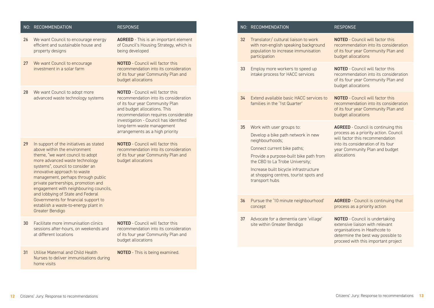|    | NO: RECOMMENDATION                                                                                                                                                                                                                                                                                                                                                                                                                                                               | <b>RESPONSE</b>                                                                                                                                                                                                                                                                                        |
|----|----------------------------------------------------------------------------------------------------------------------------------------------------------------------------------------------------------------------------------------------------------------------------------------------------------------------------------------------------------------------------------------------------------------------------------------------------------------------------------|--------------------------------------------------------------------------------------------------------------------------------------------------------------------------------------------------------------------------------------------------------------------------------------------------------|
| 26 | We want Council to encourage energy<br>efficient and sustainable house and<br>property designs                                                                                                                                                                                                                                                                                                                                                                                   | <b>AGREED</b> - This is an important element<br>of Council's Housing Strategy, which is<br>being developed                                                                                                                                                                                             |
| 27 | We want Council to encourage<br>investment in a solar farm                                                                                                                                                                                                                                                                                                                                                                                                                       | <b>NOTED</b> - Council will factor this<br>recommendation into its consideration<br>of its four year Community Plan and<br>budget allocations                                                                                                                                                          |
| 28 | We want Council to adopt more<br>advanced waste technology systems                                                                                                                                                                                                                                                                                                                                                                                                               | <b>NOTED</b> - Council will factor this<br>recommendation into its consideration<br>of its four year Community Plan<br>and budget allocations. This<br>recommendation requires considerable<br>investigation - Council has identified<br>long-term waste management<br>arrangements as a high priority |
| 29 | In support of the initiatives as stated<br>above within the environment<br>theme, "we want council to adopt<br>more advanced waste technology<br>systems", council to consider an<br>innovative approach to waste<br>management, perhaps through public<br>private partnerships, promotion and<br>engagement with neighbouring councils,<br>and lobbying of State and Federal<br>Governments for financial support to<br>establish a waste-to-energy plant in<br>Greater Bendigo | <b>NOTED</b> - Council will factor this<br>recommendation into its consideration<br>of its four year Community Plan and<br>budget allocations                                                                                                                                                          |
| 30 | Facilitate more immunisation clinics<br>sessions after-hours, on weekends and<br>at different locations                                                                                                                                                                                                                                                                                                                                                                          | <b>NOTED</b> - Council will factor this<br>recommendation into its consideration<br>of its four year Community Plan and<br>budget allocations                                                                                                                                                          |
| 31 | Utilise Maternal and Child Health<br>Nurses to deliver immunisations during<br>home visits                                                                                                                                                                                                                                                                                                                                                                                       | <b>NOTED</b> - This is being examined.                                                                                                                                                                                                                                                                 |

|    | NO: RECOMMENDATION                                                                                                                                                                                                                                                                                  | <b>RESPONSE</b>                                                                                                                                                                                               |
|----|-----------------------------------------------------------------------------------------------------------------------------------------------------------------------------------------------------------------------------------------------------------------------------------------------------|---------------------------------------------------------------------------------------------------------------------------------------------------------------------------------------------------------------|
| 32 | Translator/ cultural liaison to work<br>with non-english speaking background<br>population to increase immunisation<br>participation                                                                                                                                                                | <b>NOTED</b> - Council will factor this<br>recommendation into its consideration<br>of its four year Community Plan and<br>budget allocations                                                                 |
| 33 | Employ more workers to speed up<br>intake process for HACC services                                                                                                                                                                                                                                 | <b>NOTED</b> - Council will factor this<br>recommendation into its consideration<br>of its four year Community Plan and<br>budget allocations                                                                 |
| 34 | Extend available basic HACC services to<br>families in the '1st Quarter'                                                                                                                                                                                                                            | <b>NOTED</b> - Council will factor this<br>recommendation into its consideration<br>of its four year Community Plan and<br>budget allocations                                                                 |
| 35 | Work with user groups to:<br>Develop a bike path network in new<br>neighbourhoods;<br>Connect current bike paths;<br>Provide a purpose-built bike path from<br>the CBD to La Trobe University;<br>Increase built bicycle infrastructure<br>at shopping centres, tourist spots and<br>transport hubs | <b>AGREED</b> - Council is continuing this<br>process as a priority action. Council<br>will factor this recommendation<br>into its consideration of its four<br>year Community Plan and budget<br>allocations |
| 36 | Pursue the '10 minute neighbourhood'<br>concept                                                                                                                                                                                                                                                     | <b>AGREED</b> - Council is continuing that<br>process as a priority action                                                                                                                                    |
| 37 | Advocate for a dementia care 'village'<br>site within Greater Bendigo                                                                                                                                                                                                                               | <b>NOTED</b> - Council is undertaking<br>extensive liaison with relevant<br>organisations in Heathcote to<br>determine the best way possible to<br>proceed with this important project                        |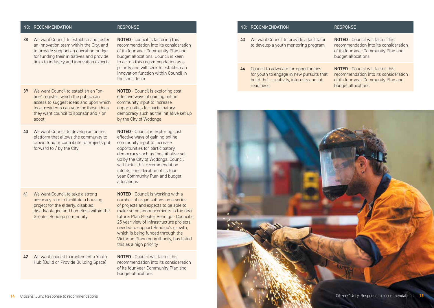#### NO: RECOMMENDATION RESPONSE

38 We want Council to establish and foster an innovation team within the City, and to provide support an operating budget for funding their initiatives and provide links to industry and innovation experts

NOTED - council is factoring this recommendation into its consideration of its four year Community Plan and budget allocations. Council is keen to act on this recommendation as a priority and will seek to establish an innovation function within Council in the short term

39 We want Council to establish an "online" register, which the public can access to suggest ideas and upon which local residents can vote for those ideas they want council to sponsor and / or adopt

NOTED - Council is exploring cost effective ways of gaining online community input to increase opportunities for participatory democracy such as the initiative set up by the City of Wodonga

40 We want Council to develop an online platform that allows the community to crowd fund or contribute to projects put forward to / by the City

NOTED - Council is exploring cost effective ways of gaining online community input to increase opportunities for participatory democracy such as the initiative set up by the City of Wodonga. Council will factor this recommendation into its consideration of its four year Community Plan and budget allocations

41 We want Council to take a strong advocacy role to facilitate a housing project for the elderly, disabled, disadvantaged and homeless within the Greater Bendigo community

NOTED - Council is working with a number of organisations on a series of projects and expects to be able to make some announcements in the near future. Plan Greater Bendigo - Council's 25 year view of infrastructure projects needed to support Bendigo's growth, which is being funded through the Victorian Planning Authority, has listed this as a high priority

42 We want council to implement a Youth Hub (Build or Provide Building Space)

NOTED - Council will factor this recommendation into its consideration of its four year Community Plan and budget allocations

#### NO: RECOMMENDATION RESPONSE

- 43 We want Council to provide a facilitator to develop a youth mentoring program
- 44 Council to advocate for opportunities for youth to engage in new pursuits that build their creativity, interests and job readiness

NOTED - Council will factor this recommendation into its consideration of its four year Community Plan and budget allocations

NOTED - Council will factor this recommendation into its consideration of its four year Community Plan and budget allocations